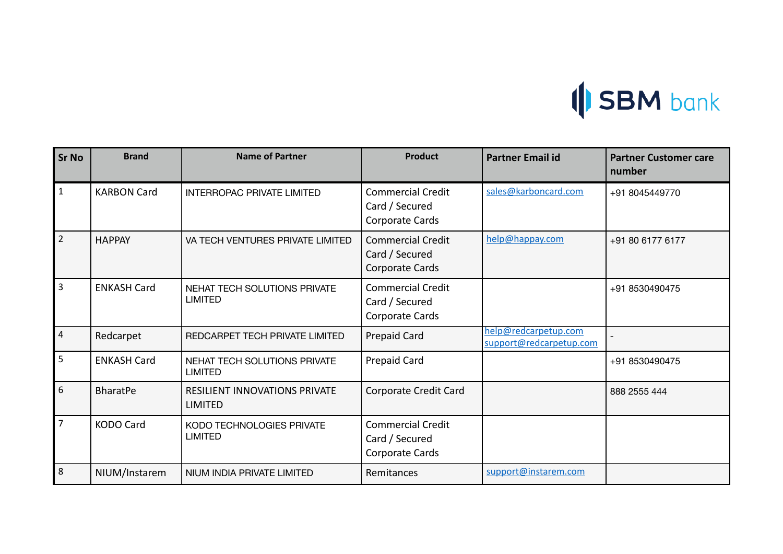

| <b>Sr No</b>            | <b>Brand</b>       | <b>Name of Partner</b>                                 | <b>Product</b>                                                | <b>Partner Email id</b>                         | <b>Partner Customer care</b><br>number |
|-------------------------|--------------------|--------------------------------------------------------|---------------------------------------------------------------|-------------------------------------------------|----------------------------------------|
| $\mathbf{1}$            | <b>KARBON Card</b> | <b>INTERROPAC PRIVATE LIMITED</b>                      | <b>Commercial Credit</b><br>Card / Secured<br>Corporate Cards | sales@karboncard.com                            | +91 8045449770                         |
| $\overline{2}$          | <b>HAPPAY</b>      | VA TECH VENTURES PRIVATE LIMITED                       | <b>Commercial Credit</b><br>Card / Secured<br>Corporate Cards | help@happay.com                                 | +91 80 6177 6177                       |
| $\overline{3}$          | <b>ENKASH Card</b> | NEHAT TECH SOLUTIONS PRIVATE<br><b>LIMITED</b>         | <b>Commercial Credit</b><br>Card / Secured<br>Corporate Cards |                                                 | +91 8530490475                         |
| $\overline{\mathbf{4}}$ | Redcarpet          | REDCARPET TECH PRIVATE LIMITED                         | Prepaid Card                                                  | help@redcarpetup.com<br>support@redcarpetup.com |                                        |
| 5                       | <b>ENKASH Card</b> | <b>NEHAT TECH SOLUTIONS PRIVATE</b><br><b>LIMITED</b>  | Prepaid Card                                                  |                                                 | +91 8530490475                         |
| 6                       | <b>BharatPe</b>    | <b>RESILIENT INNOVATIONS PRIVATE</b><br><b>LIMITED</b> | Corporate Credit Card                                         |                                                 | 888 2555 444                           |
| $\overline{7}$          | <b>KODO Card</b>   | KODO TECHNOLOGIES PRIVATE<br><b>LIMITED</b>            | <b>Commercial Credit</b><br>Card / Secured<br>Corporate Cards |                                                 |                                        |
| 8                       | NIUM/Instarem      | NIUM INDIA PRIVATE LIMITED                             | Remitances                                                    | support@instarem.com                            |                                        |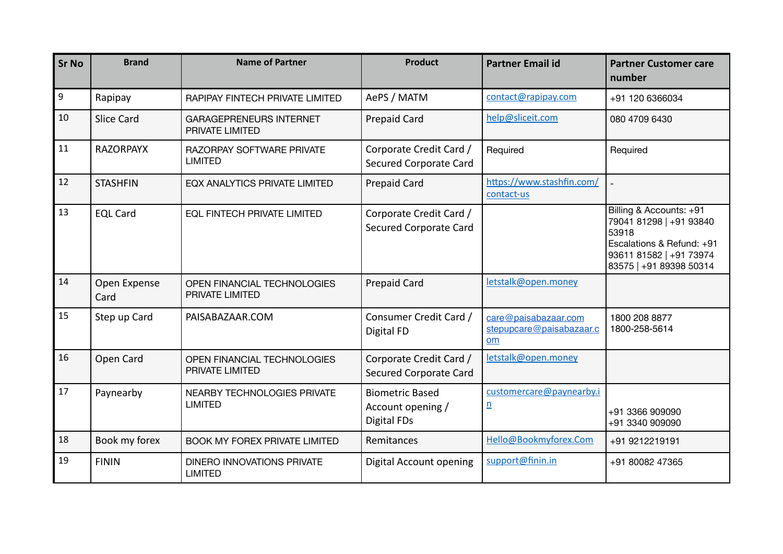| <b>Sr No</b>     | <b>Brand</b>         | <b>Name of Partner</b>                              | <b>Product</b>                                                    | <b>Partner Email id</b>                                | <b>Partner Customer care</b><br>number                                                                                                         |
|------------------|----------------------|-----------------------------------------------------|-------------------------------------------------------------------|--------------------------------------------------------|------------------------------------------------------------------------------------------------------------------------------------------------|
| $\boldsymbol{9}$ | Rapipay              | RAPIPAY FINTECH PRIVATE LIMITED                     | AePS / MATM                                                       | contact@rapipay.com                                    | +91 120 6366034                                                                                                                                |
| 10               | <b>Slice Card</b>    | <b>GARAGEPRENEURS INTERNET</b><br>PRIVATE LIMITED   | <b>Prepaid Card</b>                                               | help@sliceit.com                                       | 080 4709 6430                                                                                                                                  |
| 11               | <b>RAZORPAYX</b>     | RAZORPAY SOFTWARE PRIVATE<br><b>LIMITED</b>         | Corporate Credit Card /<br>Secured Corporate Card                 | Required                                               | Required                                                                                                                                       |
| 12               | <b>STASHFIN</b>      | <b>EQX ANALYTICS PRIVATE LIMITED</b>                | <b>Prepaid Card</b>                                               | https://www.stashfin.com/<br>contact-us                |                                                                                                                                                |
| 13               | <b>EQL Card</b>      | <b>EQL FINTECH PRIVATE LIMITED</b>                  | Corporate Credit Card /<br>Secured Corporate Card                 |                                                        | Billing & Accounts: +91<br>79041 81298   +91 93840<br>53918<br>Escalations & Refund: +91<br>93611 81582   +91 73974<br>83575   +91 89398 50314 |
| 14               | Open Expense<br>Card | OPEN FINANCIAL TECHNOLOGIES<br>PRIVATE LIMITED      | <b>Prepaid Card</b>                                               | letstalk@open.money                                    |                                                                                                                                                |
| 15               | Step up Card         | PAISABAZAAR.COM                                     | Consumer Credit Card /<br>Digital FD                              | care@paisabazaar.com<br>stepupcare@paisabazaar.c<br>om | 1800 208 8877<br>1800-258-5614                                                                                                                 |
| 16               | Open Card            | OPEN FINANCIAL TECHNOLOGIES<br>PRIVATE LIMITED      | Corporate Credit Card /<br>Secured Corporate Card                 | letstalk@open.money                                    |                                                                                                                                                |
| 17               | Paynearby            | NEARBY TECHNOLOGIES PRIVATE<br><b>LIMITED</b>       | <b>Biometric Based</b><br>Account opening /<br><b>Digital FDs</b> | customercare@paynearby.i<br>n                          | +91 3366 909090<br>+91 3340 909090                                                                                                             |
| 18               | Book my forex        | <b>BOOK MY FOREX PRIVATE LIMITED</b>                | Remitances                                                        | Hello@Bookmyforex.Com                                  | +91 9212219191                                                                                                                                 |
| 19               | <b>FININ</b>         | <b>DINERO INNOVATIONS PRIVATE</b><br><b>LIMITED</b> | Digital Account opening                                           | support@finin.in                                       | +91 80082 47365                                                                                                                                |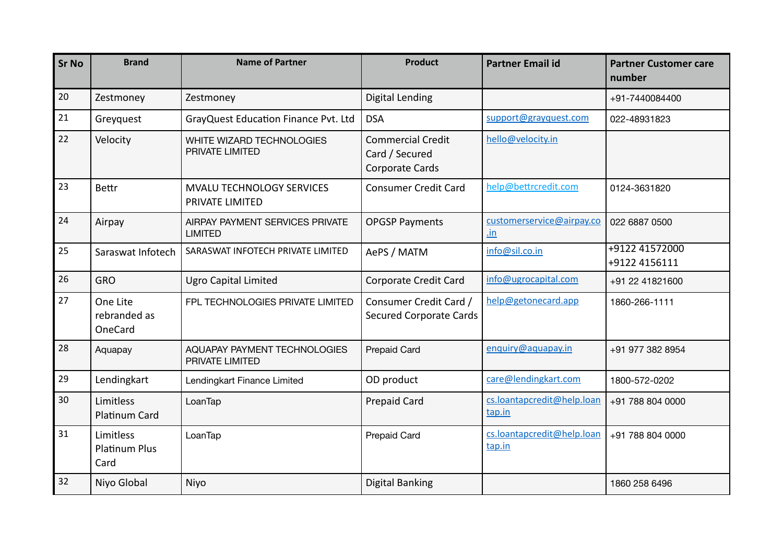| <b>Sr No</b> | <b>Brand</b>                              | <b>Name of Partner</b>                              | <b>Product</b>                                                | <b>Partner Email id</b>              | <b>Partner Customer care</b><br>number |
|--------------|-------------------------------------------|-----------------------------------------------------|---------------------------------------------------------------|--------------------------------------|----------------------------------------|
| 20           | Zestmoney                                 | Zestmoney                                           | <b>Digital Lending</b>                                        |                                      | +91-7440084400                         |
| 21           | Greyquest                                 | GrayQuest Education Finance Pvt. Ltd                | <b>DSA</b>                                                    | support@grayquest.com                | 022-48931823                           |
| 22           | Velocity                                  | WHITE WIZARD TECHNOLOGIES<br>PRIVATE LIMITED        | <b>Commercial Credit</b><br>Card / Secured<br>Corporate Cards | hello@velocity.in                    |                                        |
| 23           | <b>Bettr</b>                              | <b>MVALU TECHNOLOGY SERVICES</b><br>PRIVATE LIMITED | <b>Consumer Credit Card</b>                                   | help@bettrcredit.com                 | 0124-3631820                           |
| 24           | Airpay                                    | AIRPAY PAYMENT SERVICES PRIVATE<br><b>LIMITED</b>   | <b>OPGSP Payments</b>                                         | customerservice@airpay.co<br>.in     | 022 6887 0500                          |
| 25           | Saraswat Infotech                         | SARASWAT INFOTECH PRIVATE LIMITED                   | AePS / MATM                                                   | info@sil.co.in                       | +9122 41572000<br>+9122 4156111        |
| 26           | <b>GRO</b>                                | <b>Ugro Capital Limited</b>                         | Corporate Credit Card                                         | info@ugrocapital.com                 | +91 22 41821600                        |
| 27           | One Lite<br>rebranded as<br>OneCard       | FPL TECHNOLOGIES PRIVATE LIMITED                    | Consumer Credit Card /<br><b>Secured Corporate Cards</b>      | help@getonecard.app                  | 1860-266-1111                          |
| 28           | Aquapay                                   | AQUAPAY PAYMENT TECHNOLOGIES<br>PRIVATE LIMITED     | <b>Prepaid Card</b>                                           | enquiry@aquapay.in                   | +91 977 382 8954                       |
| 29           | Lendingkart                               | Lendingkart Finance Limited                         | OD product                                                    | care@lendingkart.com                 | 1800-572-0202                          |
| 30           | Limitless<br>Platinum Card                | LoanTap                                             | <b>Prepaid Card</b>                                           | cs.loantapcredit@help.loan<br>tap.in | +91 788 804 0000                       |
| 31           | Limitless<br><b>Platinum Plus</b><br>Card | LoanTap                                             | <b>Prepaid Card</b>                                           | cs.loantapcredit@help.loan<br>tap.in | +91 788 804 0000                       |
| 32           | Niyo Global                               | Niyo                                                | <b>Digital Banking</b>                                        |                                      | 1860 258 6496                          |